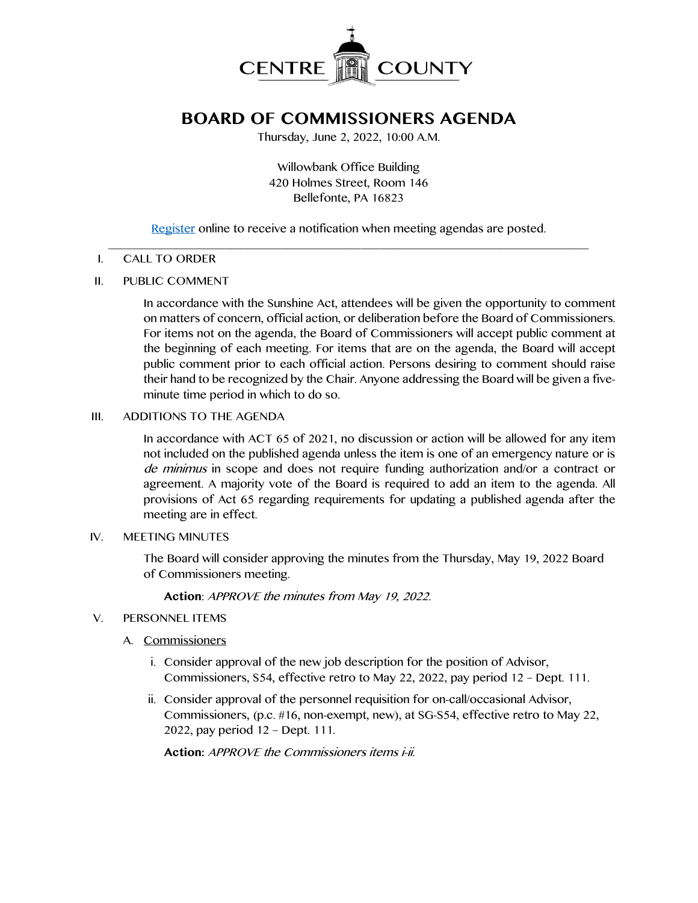

# **BOARD OF COMMISSIONERS AGENDA**

Thursday, June 2, 2022, 10:00 A.M.

Willowbank Office Building 420 Holmes Street, Room 146 Bellefonte, PA 16823

[Register](http://www.centrecountypa.gov/AgendaCenter) online to receive a notification when meeting agendas are posted.

#### $\mathcal{L} = \{ \mathcal{L} = \{ \mathcal{L} \mid \mathcal{L} = \{ \mathcal{L} \mid \mathcal{L} = \{ \mathcal{L} \mid \mathcal{L} = \{ \mathcal{L} \mid \mathcal{L} = \{ \mathcal{L} \mid \mathcal{L} = \{ \mathcal{L} \mid \mathcal{L} = \{ \mathcal{L} \mid \mathcal{L} = \{ \mathcal{L} \mid \mathcal{L} = \{ \mathcal{L} \mid \mathcal{L} = \{ \mathcal{L} \mid \mathcal{L} = \{ \mathcal{L} \mid \mathcal{L} = \{ \mathcal{L} \mid \mathcal{L} =$ I. CALL TO ORDER

## II. PUBLIC COMMENT

In accordance with the Sunshine Act, attendees will be given the opportunity to comment on matters of concern, official action, or deliberation before the Board of Commissioners. For items not on the agenda, the Board of Commissioners will accept public comment at the beginning of each meeting. For items that are on the agenda, the Board will accept public comment prior to each official action. Persons desiring to comment should raise their hand to be recognized by the Chair. Anyone addressing the Board will be given a fiveminute time period in which to do so.

## III. ADDITIONS TO THE AGENDA

In accordance with ACT 65 of 2021, no discussion or action will be allowed for any item not included on the published agenda unless the item is one of an emergency nature or is de minimus in scope and does not require funding authorization and/or a contract or agreement. A majority vote of the Board is required to add an item to the agenda. All provisions of Act 65 regarding requirements for updating a published agenda after the meeting are in effect.

#### IV. MEETING MINUTES

The Board will consider approving the minutes from the Thursday, May 19, 2022 Board of Commissioners meeting.

**Action**: APPROVE the minutes from May 19, 2022.

- V. PERSONNEL ITEMS
	- A. Commissioners
		- i. Consider approval of the new job description for the position of Advisor, Commissioners, S54, effective retro to May 22, 2022, pay period 12 – Dept. 111.
		- ii. Consider approval of the personnel requisition for on-call/occasional Advisor, Commissioners, (p.c. #16, non-exempt, new), at SG-S54, effective retro to May 22, 2022, pay period 12 – Dept. 111.

**Action:** APPROVE the Commissioners items i-ii.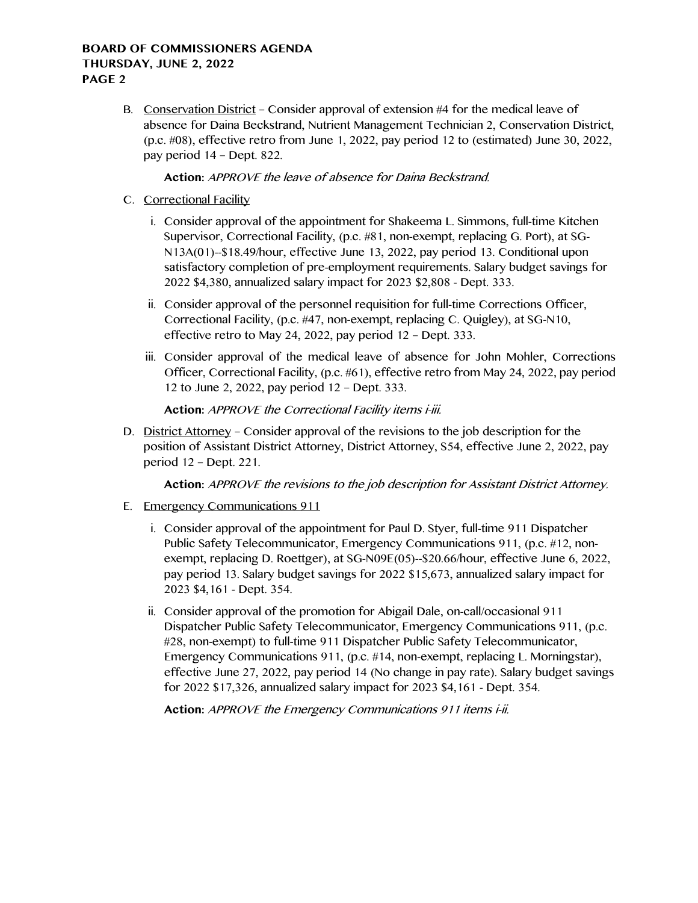# **BOARD OF COMMISSIONERS AGENDA THURSDAY, JUNE 2, 2022 PAGE 2**

B. Conservation District – Consider approval of extension #4 for the medical leave of absence for Daina Beckstrand, Nutrient Management Technician 2, Conservation District, (p.c. #08), effective retro from June 1, 2022, pay period 12 to (estimated) June 30, 2022, pay period 14 – Dept. 822.

# **Action:** APPROVE the leave of absence for Daina Beckstrand.

- C. Correctional Facility
	- i. Consider approval of the appointment for Shakeema L. Simmons, full-time Kitchen Supervisor, Correctional Facility, (p.c. #81, non-exempt, replacing G. Port), at SG-N13A(01)--\$18.49/hour, effective June 13, 2022, pay period 13. Conditional upon satisfactory completion of pre-employment requirements. Salary budget savings for 2022 \$4,380, annualized salary impact for 2023 \$2,808 - Dept. 333.
	- ii. Consider approval of the personnel requisition for full-time Corrections Officer, Correctional Facility, (p.c. #47, non-exempt, replacing C. Quigley), at SG-N10, effective retro to May 24, 2022, pay period 12 – Dept. 333.
	- iii. Consider approval of the medical leave of absence for John Mohler, Corrections Officer, Correctional Facility, (p.c. #61), effective retro from May 24, 2022, pay period 12 to June 2, 2022, pay period 12 – Dept. 333.

# **Action:** APPROVE the Correctional Facility items i-iii.

D. District Attorney – Consider approval of the revisions to the job description for the position of Assistant District Attorney, District Attorney, S54, effective June 2, 2022, pay period 12 – Dept. 221.

**Action:** APPROVE the revisions to the job description for Assistant District Attorney.

- E. Emergency Communications 911
	- i. Consider approval of the appointment for Paul D. Styer, full-time 911 Dispatcher Public Safety Telecommunicator, Emergency Communications 911, (p.c. #12, nonexempt, replacing D. Roettger), at SG-N09E(05)--\$20.66/hour, effective June 6, 2022, pay period 13. Salary budget savings for 2022 \$15,673, annualized salary impact for 2023 \$4,161 - Dept. 354.
	- ii. Consider approval of the promotion for Abigail Dale, on-call/occasional 911 Dispatcher Public Safety Telecommunicator, Emergency Communications 911, (p.c. #28, non-exempt) to full-time 911 Dispatcher Public Safety Telecommunicator, Emergency Communications 911, (p.c. #14, non-exempt, replacing L. Morningstar), effective June 27, 2022, pay period 14 (No change in pay rate). Salary budget savings for 2022 \$17,326, annualized salary impact for 2023 \$4,161 - Dept. 354.

**Action:** APPROVE the Emergency Communications 911 items i-ii.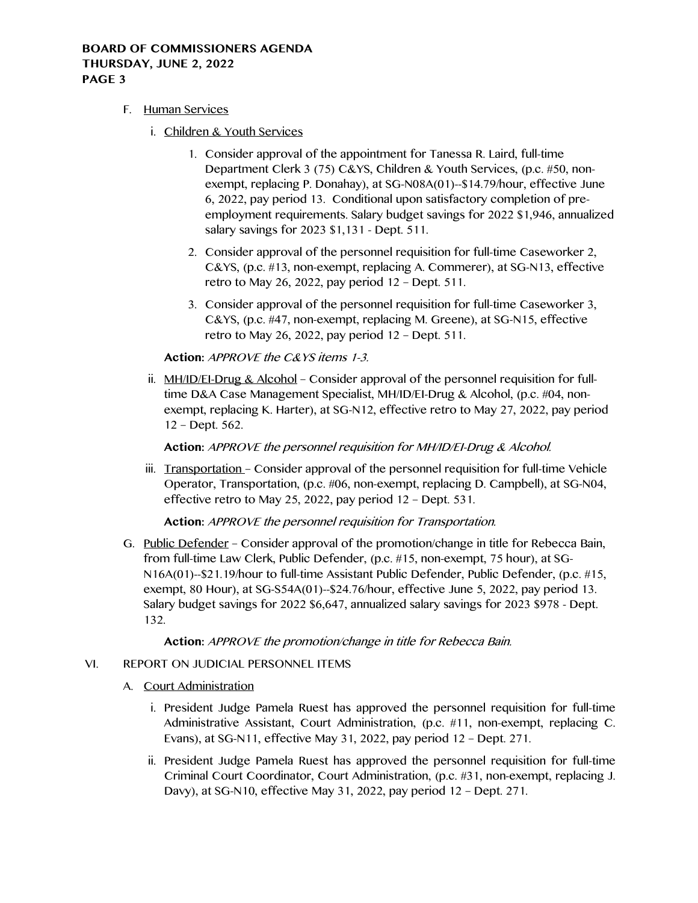# **BOARD OF COMMISSIONERS AGENDA THURSDAY, JUNE 2, 2022 PAGE 3**

- F. Human Services
	- i. Children & Youth Services
		- 1. Consider approval of the appointment for Tanessa R. Laird, full-time Department Clerk 3 (75) C&YS, Children & Youth Services, (p.c. #50, nonexempt, replacing P. Donahay), at SG-N08A(01)--\$14.79/hour, effective June 6, 2022, pay period 13. Conditional upon satisfactory completion of preemployment requirements. Salary budget savings for 2022 \$1,946, annualized salary savings for 2023 \$1,131 - Dept. 511.
		- 2. Consider approval of the personnel requisition for full-time Caseworker 2, C&YS, (p.c. #13, non-exempt, replacing A. Commerer), at SG-N13, effective retro to May 26, 2022, pay period 12 – Dept. 511.
		- 3. Consider approval of the personnel requisition for full-time Caseworker 3, C&YS, (p.c. #47, non-exempt, replacing M. Greene), at SG-N15, effective retro to May 26, 2022, pay period 12 – Dept. 511.

**Action:** APPROVE the C&YS items 1-3.

ii. MH/ID/EI-Drug & Alcohol – Consider approval of the personnel requisition for fulltime D&A Case Management Specialist, MH/ID/EI-Drug & Alcohol, (p.c. #04, nonexempt, replacing K. Harter), at SG-N12, effective retro to May 27, 2022, pay period 12 – Dept. 562.

**Action:** APPROVE the personnel requisition for MH/ID/EI-Drug & Alcohol.

iii. Transportation – Consider approval of the personnel requisition for full-time Vehicle Operator, Transportation, (p.c. #06, non-exempt, replacing D. Campbell), at SG-N04, effective retro to May 25, 2022, pay period 12 – Dept. 531.

**Action:** APPROVE the personnel requisition for Transportation.

G. Public Defender – Consider approval of the promotion/change in title for Rebecca Bain, from full-time Law Clerk, Public Defender, (p.c. #15, non-exempt, 75 hour), at SG-N16A(01)--\$21.19/hour to full-time Assistant Public Defender, Public Defender, (p.c. #15, exempt, 80 Hour), at SG-S54A(01)--\$24.76/hour, effective June 5, 2022, pay period 13. Salary budget savings for 2022 \$6,647, annualized salary savings for 2023 \$978 - Dept. 132.

**Action:** APPROVE the promotion/change in title for Rebecca Bain.

# VI. REPORT ON JUDICIAL PERSONNEL ITEMS

- A. Court Administration
	- i. President Judge Pamela Ruest has approved the personnel requisition for full-time Administrative Assistant, Court Administration, (p.c. #11, non-exempt, replacing C. Evans), at SG-N11, effective May 31, 2022, pay period 12 – Dept. 271.
	- ii. President Judge Pamela Ruest has approved the personnel requisition for full-time Criminal Court Coordinator, Court Administration, (p.c. #31, non-exempt, replacing J. Davy), at SG-N10, effective May 31, 2022, pay period 12 – Dept. 271.